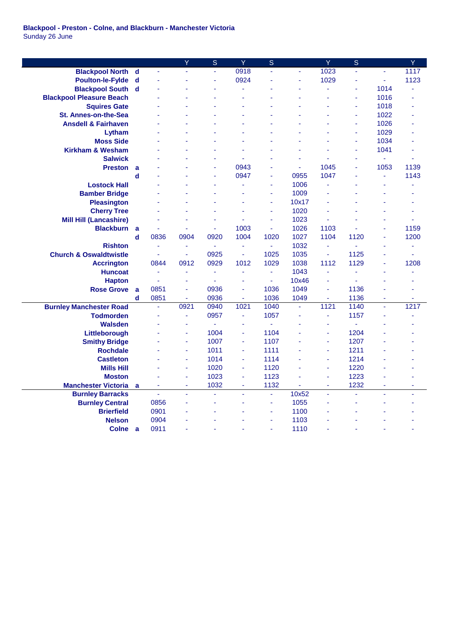**Blackpool - Preston - Colne, and Blackburn - Manchester Victoria** Sunday 26 June

|                                   |             |      | Ÿ              | S            | Ÿ    | $\mathbf S$ |       | Ÿ                     | $\mathbf S$ |      | Ÿ      |
|-----------------------------------|-------------|------|----------------|--------------|------|-------------|-------|-----------------------|-------------|------|--------|
| <b>Blackpool North</b>            | $\mathbf d$ |      |                | ä,           | 0918 | ä,          |       | 1023                  | ä,          | ä,   | 1117   |
| <b>Poulton-le-Fylde</b>           | $\mathbf d$ |      | ä,             | ÷,           | 0924 | L,          | ÷,    | 1029                  |             | ä,   | 1123   |
| <b>Blackpool South d</b>          |             |      |                | ä,           | ä,   |             | ä,    | ä,                    | ä,          | 1014 | ä,     |
| <b>Blackpool Pleasure Beach</b>   |             |      |                |              |      |             |       |                       |             | 1016 |        |
| <b>Squires Gate</b>               |             |      |                |              |      |             |       |                       |             | 1018 |        |
| St. Annes-on-the-Sea              |             |      |                |              |      |             |       |                       | ä,          | 1022 |        |
| <b>Ansdell &amp; Fairhaven</b>    |             |      |                |              |      |             |       | L,                    | ÷.          | 1026 |        |
| Lytham                            |             |      |                |              |      |             |       |                       | ÷           | 1029 |        |
| <b>Moss Side</b>                  |             |      |                |              |      |             |       |                       | ٠           | 1034 |        |
| <b>Kirkham &amp; Wesham</b>       |             |      |                |              |      |             |       | ä,                    | ٠           | 1041 |        |
| <b>Salwick</b>                    |             |      |                |              |      |             |       |                       |             | ÷.   |        |
| <b>Preston</b>                    | a           |      |                | ÷,           | 0943 | ä,          |       | 1045                  |             | 1053 | 1139   |
|                                   | d           |      |                | ä,           | 0947 | ä,          | 0955  | 1047                  |             | ÷.   | 1143   |
| <b>Lostock Hall</b>               |             |      |                | L,           |      | ä,          | 1006  | ä,                    |             | ä,   | L,     |
| <b>Bamber Bridge</b>              |             |      |                |              |      | L,          | 1009  |                       |             |      |        |
| <b>Pleasington</b>                |             |      |                |              |      | ä,          | 10x17 | ä                     |             |      |        |
| <b>Cherry Tree</b>                |             |      |                |              |      | ä,          | 1020  | ä,                    |             |      |        |
| <b>Mill Hill (Lancashire)</b>     |             |      | ٠              | ٠            |      | ä,          | 1023  | ä,                    |             | ٠    |        |
| <b>Blackburn</b>                  | a           |      | ä,             | ÷,           | 1003 | ä,          | 1026  | 1103                  |             | ä,   | 1159   |
|                                   | $\mathbf d$ | 0836 | 0904           | 0920         | 1004 | 1020        | 1027  | 1104                  | 1120        | Ξ    | 1200   |
| <b>Rishton</b>                    |             | ÷.   | $\blacksquare$ | $\omega$     | ÷,   | L.          | 1032  | $\blacksquare$        |             | ٠    | $\sim$ |
| <b>Church &amp; Oswaldtwistle</b> |             |      | ÷.             | 0925         | ÷,   | 1025        | 1035  | $\blacksquare$        | 1125        | ä,   | ä,     |
| <b>Accrington</b>                 |             | 0844 | 0912           | 0929         | 1012 | 1029        | 1038  | 1112                  | 1129        | ä,   | 1208   |
| <b>Huncoat</b>                    |             | ä,   | ä,             | ä,           | ä,   | ä,          | 1043  | ä,                    | ä,          | ä,   | ä,     |
| <b>Hapton</b>                     |             |      | ä,             | ä,           | ä,   | ä,          | 10x46 | ä,                    |             |      |        |
| <b>Rose Grove</b>                 | a           | 0851 | ä,             | 0936         | ä,   | 1036        | 1049  | Ξ                     | 1136        |      |        |
|                                   | $\mathbf d$ | 0851 | Ξ              | 0936         | ä,   | 1036        | 1049  | $\blacksquare$        | 1136        | ä,   | ä,     |
| <b>Burnley Manchester Road</b>    |             | ä,   | 0921           | 0940         | 1021 | 1040        | ä,    | 1121                  | 1140        | ä,   | 1217   |
| <b>Todmorden</b>                  |             |      | ÷.             | 0957         | Ξ    | 1057        | ÷,    | Ξ                     | 1157        | ä,   |        |
| <b>Walsden</b>                    |             |      | ٠              | $\mathbf{r}$ |      | L,          |       | ä,                    | ä,          |      |        |
| Littleborough                     |             |      | ä,             | 1004         | ä,   | 1104        |       | ä,                    | 1204        |      |        |
| <b>Smithy Bridge</b>              |             |      | ä,             | 1007         | ä,   | 1107        |       | ä,                    | 1207        |      |        |
| <b>Rochdale</b>                   |             |      | ä,             | 1011         | ä,   | 1111        |       | ä,                    | 1211        |      |        |
| <b>Castleton</b>                  |             |      | ä,             | 1014         | ä,   | 1114        |       | ä,                    | 1214        |      |        |
| <b>Mills Hill</b>                 |             |      | Ξ              | 1020         | ä,   | 1120        |       | ä,                    | 1220        |      |        |
| <b>Moston</b>                     |             |      | Ξ              | 1023         | ä,   | 1123        |       | ä,                    | 1223        | ä,   |        |
| <b>Manchester Victoria</b> a      |             | ä,   | ä,             | 1032         | ٠    | 1132        | ÷.    | $\tilde{\phantom{a}}$ | 1232        | ä,   | ÷,     |
| <b>Burnley Barracks</b>           |             | ä,   | ä,             | L,           | ä,   | $\omega$    | 10x52 | ä,                    | ä,          | ä,   | ÷.     |
| <b>Burnley Central</b>            |             | 0856 | ä,             | ÷.           | ٠    | ä,          | 1055  | ä,                    |             | ä,   | ٠      |
| <b>Brierfield</b>                 |             | 0901 | ÷              |              |      | ÷           | 1100  |                       |             |      |        |
| <b>Nelson</b>                     |             | 0904 |                |              |      | ä,          | 1103  |                       |             |      |        |
| Colne a                           |             | 0911 |                |              |      | ä,          | 1110  |                       |             | ä,   |        |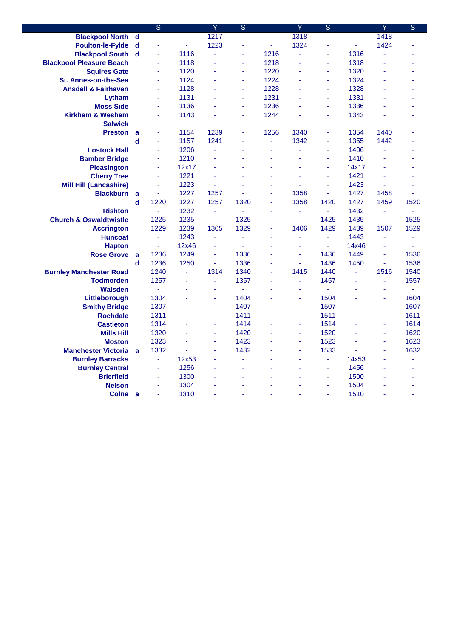|                                   |             | $\overline{\mathbf{S}}$  |       | $\overline{Y}$ | $\overline{\mathbf{s}}$ |      | $\overline{Y}$ | $\overline{\mathbf{S}}$ |       | Ÿ              | $\overline{\mathbf{S}}$ |
|-----------------------------------|-------------|--------------------------|-------|----------------|-------------------------|------|----------------|-------------------------|-------|----------------|-------------------------|
| <b>Blackpool North</b>            | $\mathbf d$ | ä,                       | ä,    | 1217           | ä,                      | ä,   | 1318           | ä,                      | ä,    | 1418           | ä,                      |
| <b>Poulton-le-Fylde</b>           | $\mathbf d$ | ä,                       | ä,    | 1223           | ä,                      | ä,   | 1324           | ÷                       | ä     | 1424           |                         |
| <b>Blackpool South d</b>          |             | ä,                       | 1116  | ÷.             | ä,                      | 1216 | ÷.             | ä,                      | 1316  | ÷.             |                         |
| <b>Blackpool Pleasure Beach</b>   |             | ä,                       | 1118  | ä,             | ä,                      | 1218 | ä,             | ÷                       | 1318  | ä,             |                         |
| <b>Squires Gate</b>               |             | $\blacksquare$           | 1120  | ä,             | ÷                       | 1220 |                | ÷                       | 1320  | ä,             |                         |
| <b>St. Annes-on-the-Sea</b>       |             | ä,                       | 1124  |                | i,                      | 1224 |                | ä,                      | 1324  |                |                         |
| <b>Ansdell &amp; Fairhaven</b>    |             | ä,                       | 1128  |                | ä,                      | 1228 |                | ÷.                      | 1328  | L,             |                         |
| Lytham                            |             | ä,                       | 1131  | ÷.             | ÷,                      | 1231 |                | ä,                      | 1331  | ä,             |                         |
| <b>Moss Side</b>                  |             | ÷                        | 1136  |                | $\sim$                  | 1236 |                | ä,                      | 1336  | ä,             |                         |
| <b>Kirkham &amp; Wesham</b>       |             | ä,                       | 1143  |                | ä,                      | 1244 |                | ä,                      | 1343  | ä,             |                         |
| <b>Salwick</b>                    |             | ٠                        | ä,    |                | ÷,                      | L,   |                |                         | ä,    |                |                         |
| <b>Preston</b>                    | a           | ä,                       | 1154  | 1239           |                         | 1256 | 1340           | ä,                      | 1354  | 1440           |                         |
|                                   | d           | $\overline{\phantom{a}}$ | 1157  | 1241           | ä,                      | ä,   | 1342           | ÷,                      | 1355  | 1442           |                         |
| <b>Lostock Hall</b>               |             | ä,                       | 1206  |                |                         | ä,   |                | ä,                      | 1406  | ä,             |                         |
| <b>Bamber Bridge</b>              |             | ä,                       | 1210  |                |                         |      |                | ä,                      | 1410  |                |                         |
| <b>Pleasington</b>                |             | ä,                       | 12x17 |                |                         | L    |                | ä,                      | 14x17 | ä,             |                         |
| <b>Cherry Tree</b>                |             | ä,                       | 1221  | ä,             |                         | L,   |                | ÷,                      | 1421  | ä,             |                         |
| <b>Mill Hill (Lancashire)</b>     |             | ä,                       | 1223  |                |                         | L    |                | ä,                      | 1423  | ä,             |                         |
| <b>Blackburn</b>                  | a           | ä,                       | 1227  | 1257           |                         | L    | 1358           | ä,                      | 1427  | 1458           |                         |
|                                   | $\mathbf d$ | 1220                     | 1227  | 1257           | 1320                    | ä,   | 1358           | 1420                    | 1427  | 1459           | 1520                    |
| <b>Rishton</b>                    |             | ä,                       | 1232  | $\blacksquare$ |                         | ä,   | ä,             | ä,                      | 1432  | $\blacksquare$ |                         |
| <b>Church &amp; Oswaldtwistle</b> |             | 1225                     | 1235  | ä,             | 1325                    | ä,   | ÷              | 1425                    | 1435  | $\omega$       | 1525                    |
| <b>Accrington</b>                 |             | 1229                     | 1239  | 1305           | 1329                    | ä,   | 1406           | 1429                    | 1439  | 1507           | 1529                    |
| <b>Huncoat</b>                    |             | $\blacksquare$           | 1243  | ä,             | ä,                      | ä,   | ÷,             | ä,                      | 1443  | Ξ              | ä,                      |
| <b>Hapton</b>                     |             | ä,                       | 12x46 | ä,             |                         |      |                | ä,                      | 14x46 | ÷,             | ä,                      |
| <b>Rose Grove</b>                 | a           | 1236                     | 1249  | ÷.             | 1336                    |      | ÷.             | 1436                    | 1449  | ä,             | 1536                    |
|                                   | $\mathbf d$ | 1236                     | 1250  | ä,             | 1336                    | ä,   | Ξ              | 1436                    | 1450  | $\blacksquare$ | 1536                    |
| <b>Burnley Manchester Road</b>    |             | 1240                     | ä,    | 1314           | 1340                    | ä,   | 1415           | 1440                    | ä,    | 1516           | 1540                    |
| <b>Todmorden</b>                  |             | 1257                     | ä,    | ä,             | 1357                    | ä,   | ä,             | 1457                    | ä     | ä,             | 1557                    |
| <b>Walsden</b>                    |             | ä,                       |       |                | ä,                      |      |                | ä,                      |       | ä,             | ä,                      |
| Littleborough                     |             | 1304                     |       | ä,             | 1404                    |      | ä,             | 1504                    |       | ä,             | 1604                    |
| <b>Smithy Bridge</b>              |             | 1307                     |       | ä,             | 1407                    |      | ä,             | 1507                    |       | ä,             | 1607                    |
| <b>Rochdale</b>                   |             | 1311                     |       | ÷.             | 1411                    |      | ä,             | 1511                    |       | ä,             | 1611                    |
| <b>Castleton</b>                  |             | 1314                     |       | ÷.             | 1414                    |      | ÷.             | 1514                    |       | ä,             | 1614                    |
| <b>Mills Hill</b>                 |             | 1320                     |       | ä,             | 1420                    |      | ä,             | 1520                    |       | ä,             | 1620                    |
| <b>Moston</b>                     |             | 1323                     |       | ä,             | 1423                    | L    | ä,             | 1523                    |       | ä,             | 1623                    |
| <b>Manchester Victoria</b>        | a           | 1332                     |       | ä,             | 1432                    | L,   | ä,             | 1533                    |       | ä,             | 1632                    |
| <b>Burnley Barracks</b>           |             | ä,                       | 12x53 | ä,             |                         |      |                |                         | 14x53 | ä,             |                         |
| <b>Burnley Central</b>            |             | ä,                       | 1256  | ä,             | L,                      | L    |                | ÷,                      | 1456  | L,             |                         |
| <b>Brierfield</b>                 |             | ä,                       | 1300  |                |                         |      |                | ä,                      | 1500  |                |                         |
| <b>Nelson</b>                     |             | ä,                       | 1304  |                |                         |      |                | ÷.                      | 1504  |                |                         |
| <b>Colne</b>                      | <b>a</b>    | $\blacksquare$           | 1310  |                |                         | L,   |                | ÷.                      | 1510  | ä,             |                         |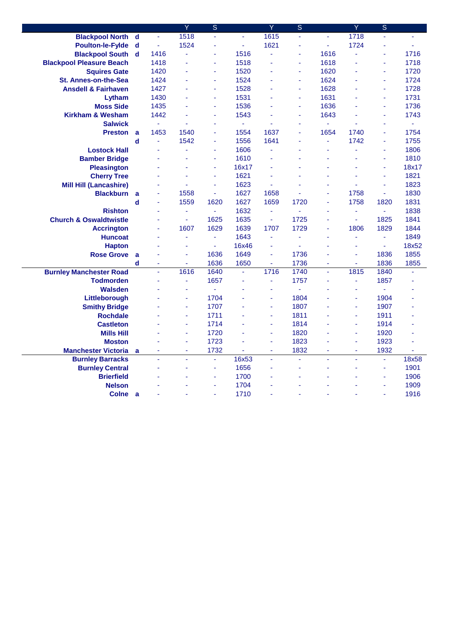|                                   |             |      | Ÿ      | $\overline{\mathsf{s}}$ |       | Ÿ    | $\overline{\mathsf{s}}$  |      | Ÿ              | $\overline{\mathbf{s}}$  |       |
|-----------------------------------|-------------|------|--------|-------------------------|-------|------|--------------------------|------|----------------|--------------------------|-------|
| <b>Blackpool North d</b>          |             | ä,   | 1518   | ä,                      | ä,    | 1615 | ä,                       | ä,   | 1718           | ä,                       | ä,    |
| <b>Poulton-le-Fylde</b>           | d           | ä,   | 1524   | ä,                      | ä,    | 1621 | ä,                       | ä,   | 1724           | L,                       |       |
| <b>Blackpool South d</b>          |             | 1416 | ä,     | ä,                      | 1516  | ä,   | ä,                       | 1616 | ÷.             | ä,                       | 1716  |
| <b>Blackpool Pleasure Beach</b>   |             | 1418 |        | $\bar{\phantom{a}}$     | 1518  |      | $\blacksquare$           | 1618 |                | ä,                       | 1718  |
| <b>Squires Gate</b>               |             | 1420 | ä,     | $\bar{\phantom{a}}$     | 1520  | ÷    | $\blacksquare$           | 1620 |                | ä,                       | 1720  |
| St. Annes-on-the-Sea              |             | 1424 |        | ä,                      | 1524  |      | ÷                        | 1624 |                | ä,                       | 1724  |
| <b>Ansdell &amp; Fairhaven</b>    |             | 1427 |        | ä,                      | 1528  |      | $\sim$                   | 1628 |                | ä,                       | 1728  |
| Lytham                            |             | 1430 |        | $\blacksquare$          | 1531  |      | ÷                        | 1631 |                | ä,                       | 1731  |
| <b>Moss Side</b>                  |             | 1435 |        | $\blacksquare$          | 1536  |      | $\overline{\phantom{a}}$ | 1636 |                | ä,                       | 1736  |
| <b>Kirkham &amp; Wesham</b>       |             | 1442 |        | ä,                      | 1543  |      | ä,                       | 1643 |                | ä,                       | 1743  |
| <b>Salwick</b>                    |             | L,   |        | ٠                       | ä,    |      | ä,                       | ä,   |                | $\overline{\phantom{a}}$ | ä,    |
| <b>Preston</b>                    | a           | 1453 | 1540   | L,                      | 1554  | 1637 | L,                       | 1654 | 1740           | L,                       | 1754  |
|                                   | $\mathbf d$ | ä,   | 1542   | $\blacksquare$          | 1556  | 1641 | ä,                       | ä,   | 1742           | ä,                       | 1755  |
| <b>Lostock Hall</b>               |             |      |        | ä,                      | 1606  |      |                          | ä,   |                | ä,                       | 1806  |
| <b>Bamber Bridge</b>              |             |      |        | ä,                      | 1610  |      |                          | L,   |                | ä,                       | 1810  |
| <b>Pleasington</b>                |             |      |        | ä,                      | 16x17 |      |                          | ä,   |                | ä,                       | 18x17 |
| <b>Cherry Tree</b>                |             |      |        | $\bar{\phantom{a}}$     | 1621  |      | L,                       | ٠    |                | ä,                       | 1821  |
| <b>Mill Hill (Lancashire)</b>     |             |      |        | ä,                      | 1623  |      |                          | ٠    |                | ä,                       | 1823  |
| <b>Blackburn</b>                  | a           | ä,   | 1558   | Ξ                       | 1627  | 1658 |                          | ä,   | 1758           | ä,                       | 1830  |
|                                   | d           | ä,   | 1559   | 1620                    | 1627  | 1659 | 1720                     | ä,   | 1758           | 1820                     | 1831  |
| <b>Rishton</b>                    |             | ä,   | ä,     | ÷.                      | 1632  | ä,   | ä,                       | ä,   | ä,             | ÷.                       | 1838  |
| <b>Church &amp; Oswaldtwistle</b> |             |      | ä,     | 1625                    | 1635  | ÷,   | 1725                     |      | ä,             | 1825                     | 1841  |
| <b>Accrington</b>                 |             |      | 1607   | 1629                    | 1639  | 1707 | 1729                     | ä,   | 1806           | 1829                     | 1844  |
| <b>Huncoat</b>                    |             |      | ä,     | ä,                      | 1643  | ä,   | ä,                       | ä,   | ä,             | ÷.                       | 1849  |
| <b>Hapton</b>                     |             |      |        | ÷                       | 16x46 | ä,   | ä,                       |      |                | ÷.                       | 18x52 |
| <b>Rose Grove</b>                 | a           |      | ä,     | 1636                    | 1649  | ä,   | 1736                     |      |                | 1836                     | 1855  |
|                                   | d           |      | ä,     | 1636                    | 1650  | ä,   | 1736                     | ä,   | ä,             | 1836                     | 1855  |
| <b>Burnley Manchester Road</b>    |             | L,   | 1616   | 1640                    | L,    | 1716 | 1740                     | L,   | 1815           | 1840                     | ä,    |
| <b>Todmorden</b>                  |             | ä,   | ä,     | 1657                    | ä,    | ä,   | 1757                     | ä,   | ä,             | 1857                     |       |
| <b>Walsden</b>                    |             |      |        | ÷.                      |       |      | ÷.                       |      |                | $\sim$                   |       |
| Littleborough                     |             |      | ä,     | 1704                    |       | ä,   | 1804                     |      | ä,             | 1904                     |       |
| <b>Smithy Bridge</b>              |             |      | ä,     | 1707                    |       | ä,   | 1807                     |      | ä,             | 1907                     |       |
| <b>Rochdale</b>                   |             |      | ä,     | 1711                    |       | ÷,   | 1811                     |      | $\blacksquare$ | 1911                     |       |
| <b>Castleton</b>                  |             |      | ä,     | 1714                    |       | ä,   | 1814                     |      | ÷.             | 1914                     |       |
| <b>Mills Hill</b>                 |             |      | ä,     | 1720                    |       | ä,   | 1820                     |      | ä,             | 1920                     |       |
| <b>Moston</b>                     |             |      | ä,     | 1723                    |       | ÷,   | 1823                     |      | ä,             | 1923                     | ٠     |
| <b>Manchester Victoria</b>        | a           | ä,   | $\sim$ | 1732                    |       | ÷,   | 1832                     | ٠    | $\blacksquare$ | 1932                     |       |
| <b>Burnley Barracks</b>           |             |      |        | $\omega$                | 16x53 |      | ä,                       |      |                | $\blacksquare$           | 18x58 |
| <b>Burnley Central</b>            |             |      | ä,     | $\bar{\phantom{a}}$     | 1656  |      | ä,                       | ä,   |                | ä,                       | 1901  |
| <b>Brierfield</b>                 |             |      |        | ÷                       | 1700  |      | ä,                       |      |                | ä,                       | 1906  |
| <b>Nelson</b>                     |             |      |        | ä                       | 1704  |      |                          |      |                | ä,                       | 1909  |
| <b>Colne</b>                      | <b>a</b>    |      |        | ä,                      | 1710  |      |                          |      |                |                          | 1916  |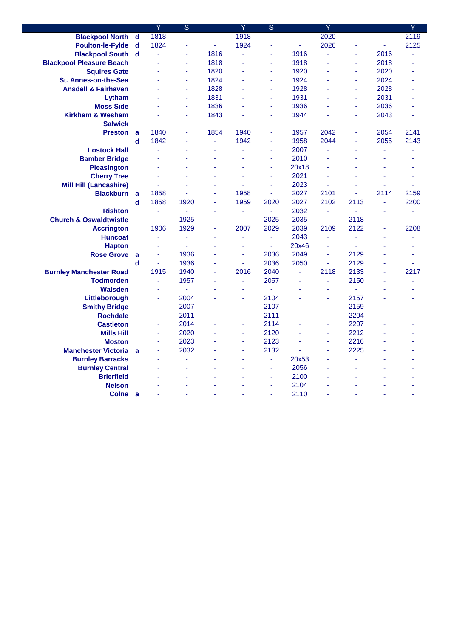|                                   |             | Ÿ    | $\overline{\mathbf{S}}$ |      | Ÿ                        | $\overline{\mathbf{S}}$ |                | Ÿ              |      |      | Ÿ    |
|-----------------------------------|-------------|------|-------------------------|------|--------------------------|-------------------------|----------------|----------------|------|------|------|
| <b>Blackpool North</b>            | $\mathbf d$ | 1818 | ä,                      | ä,   | 1918                     | ä,                      | ä,             | 2020           | ä,   | ä,   | 2119 |
| <b>Poulton-le-Fylde</b>           | d           | 1824 | L,                      | ÷,   | 1924                     | L,                      | ÷              | 2026           | L,   | ÷    | 2125 |
| <b>Blackpool South d</b>          |             | L,   | ä,                      | 1816 | ÷.                       | ä,                      | 1916           | L.             | ä,   | 2016 |      |
| <b>Blackpool Pleasure Beach</b>   |             |      | ä,                      | 1818 |                          | ä,                      | 1918           |                | ä,   | 2018 |      |
| <b>Squires Gate</b>               |             |      | ä,                      | 1820 |                          | ä,                      | 1920           |                | ä,   | 2020 |      |
| <b>St. Annes-on-the-Sea</b>       |             |      | ä,                      | 1824 |                          | ä,                      | 1924           |                | ä,   | 2024 |      |
| <b>Ansdell &amp; Fairhaven</b>    |             |      | ä                       | 1828 |                          | ä,                      | 1928           |                | ä,   | 2028 |      |
| Lytham                            |             |      | ÷                       | 1831 |                          | ä,                      | 1931           |                | ä,   | 2031 |      |
| <b>Moss Side</b>                  |             |      | ä,                      | 1836 |                          | L                       | 1936           |                | ä,   | 2036 |      |
| <b>Kirkham &amp; Wesham</b>       |             |      | ä,                      | 1843 |                          | ä,                      | 1944           |                | ä,   | 2043 |      |
| <b>Salwick</b>                    |             |      |                         | ä,   |                          | ä,                      | ä,             |                |      | ÷    |      |
| <b>Preston</b>                    | a           | 1840 | ä,                      | 1854 | 1940                     | ä,                      | 1957           | 2042           | L,   | 2054 | 2141 |
|                                   | d           | 1842 | ä,                      | ä,   | 1942                     | ä,                      | 1958           | 2044           | ä,   | 2055 | 2143 |
| <b>Lostock Hall</b>               |             |      |                         |      |                          | ä,                      | 2007           |                |      |      |      |
| <b>Bamber Bridge</b>              |             |      |                         |      |                          | L,                      | 2010           |                |      |      |      |
| <b>Pleasington</b>                |             |      |                         |      |                          | ä,                      | 20x18          |                |      |      |      |
| <b>Cherry Tree</b>                |             |      |                         |      |                          | ä,                      | 2021           |                |      |      |      |
| <b>Mill Hill (Lancashire)</b>     |             |      |                         |      |                          | L                       | 2023           |                |      |      |      |
| <b>Blackburn</b>                  | a           | 1858 |                         |      | 1958                     | ä,                      | 2027           | 2101           |      | 2114 | 2159 |
|                                   | d           | 1858 | 1920                    | ä,   | 1959                     | 2020                    | 2027           | 2102           | 2113 | ä,   | 2200 |
| <b>Rishton</b>                    |             | ä,   | ä,                      |      | ä,                       | ä,                      | 2032           | $\blacksquare$ |      | ä,   | ä,   |
| <b>Church &amp; Oswaldtwistle</b> |             | ä    | 1925                    |      | ä,                       | 2025                    | 2035           | ä,             | 2118 |      | ä,   |
| <b>Accrington</b>                 |             | 1906 | 1929                    |      | 2007                     | 2029                    | 2039           | 2109           | 2122 | ä,   | 2208 |
| <b>Huncoat</b>                    |             | ä    | ä,                      |      | ä,                       | ä,                      | 2043           | ä,             | ä,   | ä,   |      |
| <b>Hapton</b>                     |             |      | L,                      |      | $\overline{\phantom{a}}$ | L                       | 20x46          | ä,             |      |      |      |
| <b>Rose Grove</b>                 | a           | ä,   | 1936                    |      | ä,                       | 2036                    | 2049           | ä,             | 2129 |      |      |
|                                   | d           | ä,   | 1936                    | ÷.   | ä,                       | 2036                    | 2050           | ä,             | 2129 | ä,   | ä,   |
| <b>Burnley Manchester Road</b>    |             | 1915 | 1940                    | ä,   | 2016                     | 2040                    | $\blacksquare$ | 2118           | 2133 | ä,   | 2217 |
| <b>Todmorden</b>                  |             | ä    | 1957                    |      | ä,                       | 2057                    |                | ä,             | 2150 | ä,   |      |
| <b>Walsden</b>                    |             |      | ä,                      |      |                          | ä,                      |                |                |      |      |      |
| Littleborough                     |             | í,   | 2004                    |      | ä,                       | 2104                    |                | ä,             | 2157 |      |      |
| <b>Smithy Bridge</b>              |             | ä,   | 2007                    |      | ä,                       | 2107                    |                | ÷              | 2159 |      |      |
| <b>Rochdale</b>                   |             | ä    | 2011                    |      | ä,                       | 2111                    |                | ä,             | 2204 |      |      |
| <b>Castleton</b>                  |             | ä,   | 2014                    |      | ÷                        | 2114                    |                | ٠              | 2207 |      |      |
| <b>Mills Hill</b>                 |             | ä,   | 2020                    |      | ä,                       | 2120                    |                | ÷,             | 2212 |      |      |
| <b>Moston</b>                     |             | ä,   | 2023                    |      | ä,                       | 2123                    |                | ä,             | 2216 | L,   |      |
| <b>Manchester Victoria</b>        | a           | Ξ    | 2032                    |      | ä,                       | 2132                    |                | ÷              | 2225 | ä,   |      |
| <b>Burnley Barracks</b>           |             |      | L,                      |      |                          | ä,                      | 20x53          |                |      |      |      |
| <b>Burnley Central</b>            |             |      |                         |      |                          | ä,                      | 2056           |                |      |      |      |
| <b>Brierfield</b>                 |             |      |                         |      |                          | ä,                      | 2100           |                |      |      |      |
| <b>Nelson</b>                     |             |      |                         |      |                          | ä,                      | 2104           |                |      |      |      |
| <b>Colne</b>                      | <b>a</b>    |      |                         |      |                          | ä                       | 2110           |                |      |      |      |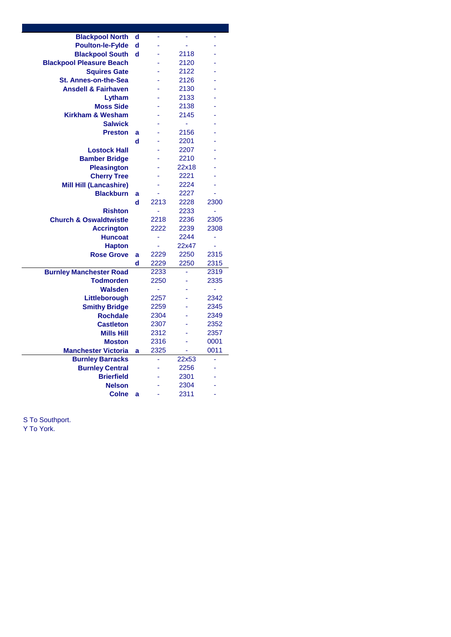| <b>Blackpool North</b>            | d |      |       | i,   |
|-----------------------------------|---|------|-------|------|
| <b>Poulton-le-Fylde</b>           | d |      |       | i,   |
| <b>Blackpool South</b>            | d |      | 2118  |      |
| <b>Blackpool Pleasure Beach</b>   |   |      | 2120  |      |
| <b>Squires Gate</b>               |   |      | 2122  |      |
| <b>St. Annes-on-the-Sea</b>       |   |      | 2126  |      |
| <b>Ansdell &amp; Fairhaven</b>    |   |      | 2130  |      |
| Lytham                            |   |      | 2133  |      |
| <b>Moss Side</b>                  |   |      | 2138  |      |
| <b>Kirkham &amp; Wesham</b>       |   |      | 2145  |      |
| <b>Salwick</b>                    |   |      | ÷,    |      |
| <b>Preston</b>                    | a |      | 2156  |      |
|                                   | d |      | 2201  |      |
| <b>Lostock Hall</b>               |   |      | 2207  |      |
| <b>Bamber Bridge</b>              |   |      | 2210  |      |
| <b>Pleasington</b>                |   |      | 22x18 |      |
| <b>Cherry Tree</b>                |   |      | 2221  |      |
| <b>Mill Hill (Lancashire)</b>     |   |      | 2224  |      |
| <b>Blackburn</b>                  | a |      | 2227  | ä,   |
|                                   | d | 2213 | 2228  | 2300 |
| <b>Rishton</b>                    |   |      | 2233  | ٠    |
| <b>Church &amp; Oswaldtwistle</b> |   | 2218 | 2236  | 2305 |
| <b>Accrington</b>                 |   | 2222 | 2239  | 2308 |
| <b>Huncoat</b>                    |   |      | 2244  | ÷,   |
| <b>Hapton</b>                     |   |      | 22x47 | ä    |
| <b>Rose Grove</b>                 | a | 2229 | 2250  | 2315 |
|                                   | d | 2229 | 2250  | 2315 |
| <b>Burnley Manchester Road</b>    |   | 2233 | ä,    | 2319 |
| <b>Todmorden</b>                  |   | 2250 |       | 2335 |
| <b>Walsden</b>                    |   |      |       |      |
| Littleborough                     |   | 2257 |       | 2342 |
| <b>Smithy Bridge</b>              |   | 2259 |       | 2345 |
| <b>Rochdale</b>                   |   | 2304 |       | 2349 |
| Castleton                         |   | 2307 |       | 2352 |
| <b>Mills Hill</b>                 |   | 2312 |       | 2357 |
| <b>Moston</b>                     |   | 2316 |       | 0001 |
| <b>Manchester Victoria</b>        | a | 2325 |       | 0011 |
| <b>Burnley Barracks</b>           |   |      | 22x53 |      |
| <b>Burnley Central</b>            |   |      | 2256  |      |
| <b>Brierfield</b>                 |   |      | 2301  |      |
| <b>Nelson</b>                     |   |      | 2304  |      |
| Colne                             | a |      | 2311  |      |

S To Southport.

Y To York.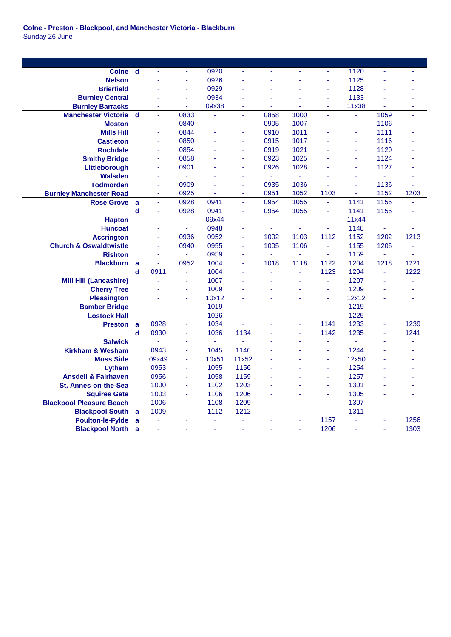| <b>Colne</b>                      | $\mathbf d$ | ä,                  | ÷.                       | 0920  | ä,             |        | ä,       | ÷.   | 1120  | ä,                    |      |
|-----------------------------------|-------------|---------------------|--------------------------|-------|----------------|--------|----------|------|-------|-----------------------|------|
| <b>Nelson</b>                     |             | ä,                  | ÷,                       | 0926  | ä,             |        |          | ÷,   | 1125  | ä,                    |      |
| <b>Brierfield</b>                 |             |                     | ä,                       | 0929  | ä,             |        |          | ä,   | 1128  |                       |      |
| <b>Burnley Central</b>            |             |                     | $\sim$                   | 0934  | L              |        |          | ÷    | 1133  | ä,                    |      |
| <b>Burnley Barracks</b>           |             | ä,                  | ä,                       | 09x38 | ä,             | ä,     | ÷,       | ä,   | 11x38 | $\tilde{\phantom{a}}$ | ä,   |
| <b>Manchester Victoria</b>        | $\mathbf d$ | ä,                  | 0833                     | ä,    | $\blacksquare$ | 0858   | 1000     | ÷,   | ä,    | 1059                  | ÷,   |
| <b>Moston</b>                     |             | $\sim$              | 0840                     | ä,    | $\sim$         | 0905   | 1007     | ä,   | ä,    | 1106                  |      |
| <b>Mills Hill</b>                 |             | $\sim$              | 0844                     | ä,    | ä,             | 0910   | 1011     | ä,   | ä,    | 1111                  |      |
| <b>Castleton</b>                  |             | $\sim$              | 0850                     | ä,    | $\blacksquare$ | 0915   | 1017     | ä,   | ä,    | 1116                  |      |
| <b>Rochdale</b>                   |             | ä,                  | 0854                     |       | ä,             | 0919   | 1021     |      | ÷     | 1120                  |      |
| <b>Smithy Bridge</b>              |             | ä,                  | 0858                     |       | ä,             | 0923   | 1025     |      | L     | 1124                  |      |
| Littleborough                     |             | ä,                  | 0901                     |       | ä,             | 0926   | 1028     |      | ä,    | 1127                  |      |
| <b>Walsden</b>                    |             | ä,                  |                          |       | ä,             | $\Box$ | ä,       | ä,   | L     | ä,                    |      |
| <b>Todmorden</b>                  |             | ä,                  | 0909                     |       | ÷,             | 0935   | 1036     |      | L,    | 1136                  |      |
| <b>Burnley Manchester Road</b>    |             | $\bar{\phantom{a}}$ | 0925                     | ä,    | $\blacksquare$ | 0951   | 1052     | 1103 | ä,    | 1152                  | 1203 |
| <b>Rose Grove</b>                 | a           | ä,                  | 0928                     | 0941  | ä,             | 0954   | 1055     | ä,   | 1141  | 1155                  |      |
|                                   | $\mathbf d$ | $\bar{\phantom{a}}$ | 0928                     | 0941  | ä,             | 0954   | 1055     | ä,   | 1141  | 1155                  |      |
| <b>Hapton</b>                     |             | ä,                  | $\sim$                   | 09x44 | ä,             | ä,     | ä,       | ä,   | 11x44 | ä,                    |      |
| <b>Huncoat</b>                    |             | ä,                  | ä,                       | 0948  | ä,             | ä,     | L,       | ä,   | 1148  | ä,                    |      |
| <b>Accrington</b>                 |             | ä,                  | 0936                     | 0952  | Ξ              | 1002   | 1103     | 1112 | 1152  | 1202                  | 1213 |
| <b>Church &amp; Oswaldtwistle</b> |             | ä,                  | 0940                     | 0955  | ä,             | 1005   | 1106     | ä,   | 1155  | 1205                  | ÷    |
| <b>Rishton</b>                    |             | ÷                   | ÷.                       | 0959  | $\blacksquare$ | ä,     | $\omega$ | ٠    | 1159  | $\blacksquare$        |      |
| <b>Blackburn</b>                  | a           | ä,                  | 0952                     | 1004  | ä,             | 1018   | 1118     | 1122 | 1204  | 1218                  | 1221 |
|                                   | $\mathbf d$ | 0911                | ä,                       | 1004  | ä,             | ä,     | ä,       | 1123 | 1204  | $\blacksquare$        | 1222 |
| <b>Mill Hill (Lancashire)</b>     |             | ä,                  |                          | 1007  | L,             |        |          | ä,   | 1207  | ä,                    |      |
| <b>Cherry Tree</b>                |             |                     | ä,                       | 1009  | ä,             |        |          | ÷,   | 1209  | ä,                    |      |
| <b>Pleasington</b>                |             |                     | ÷,                       | 10x12 | L              |        |          | ÷,   | 12x12 | ä,                    |      |
| <b>Bamber Bridge</b>              |             | ä,                  | ÷,                       | 1019  | ä,             |        |          | ÷,   | 1219  | ä,                    |      |
| <b>Lostock Hall</b>               |             |                     | ä,                       | 1026  |                |        |          | ä,   | 1225  | ä,                    |      |
| <b>Preston</b>                    | a           | 0928                | ä,                       | 1034  | ÷.             |        | ä,       | 1141 | 1233  | $\tilde{\phantom{a}}$ | 1239 |
|                                   | d           | 0930                | ÷,                       | 1036  | 1134           |        | ä,       | 1142 | 1235  | $\tilde{\phantom{a}}$ | 1241 |
| <b>Salwick</b>                    |             | ä,                  | ä,                       | ÷,    | ä,             |        |          | ä,   | ä     | ä,                    |      |
| <b>Kirkham &amp; Wesham</b>       |             | 0943                | ä,                       | 1045  | 1146           |        |          | ä,   | 1244  |                       |      |
| <b>Moss Side</b>                  |             | 09x49               | ä,                       | 10x51 | 11x52          |        |          | ä,   | 12x50 | ä,                    |      |
| Lytham                            |             | 0953                | ä,                       | 1055  | 1156           |        |          | ä,   | 1254  | ÷                     |      |
| <b>Ansdell &amp; Fairhaven</b>    |             | 0956                | $\overline{\phantom{a}}$ | 1058  | 1159           |        |          | ٠    | 1257  |                       |      |
| <b>St. Annes-on-the-Sea</b>       |             | 1000                | $\overline{\phantom{a}}$ | 1102  | 1203           |        |          | ٠    | 1301  |                       |      |
| <b>Squires Gate</b>               |             | 1003                | ä,                       | 1106  | 1206           |        |          | ä,   | 1305  |                       |      |
| <b>Blackpool Pleasure Beach</b>   |             | 1006                | ä,                       | 1108  | 1209           |        |          | ä,   | 1307  | ä,                    |      |
| <b>Blackpool South</b>            | a           | 1009                | ä,                       | 1112  | 1212           |        |          | ä,   | 1311  | ä,                    |      |
| <b>Poulton-le-Fylde</b>           | a           | ä,                  |                          | L,    | ä,             |        | ä,       | 1157 |       | ä,                    | 1256 |
| <b>Blackpool North</b>            | a           | ä,                  |                          | ä,    | ä,             |        | ä,       | 1206 |       | ä,                    | 1303 |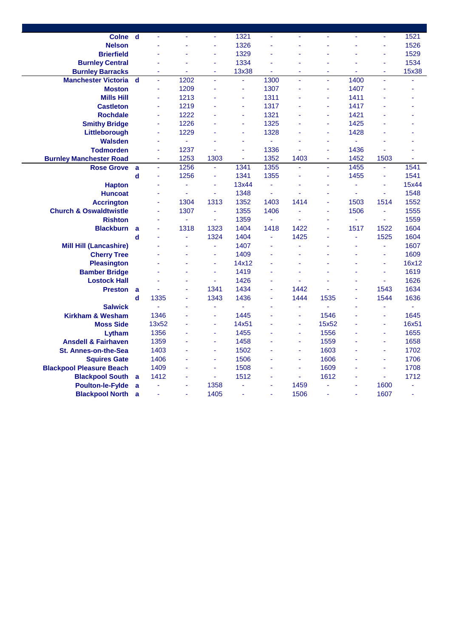| Colne d                                  |             |        | ä,                   | $\sim$               | 1321         | $\tilde{\phantom{a}}$ | ÷,       | $\tilde{\phantom{a}}$ |      | Ξ              | 1521         |
|------------------------------------------|-------------|--------|----------------------|----------------------|--------------|-----------------------|----------|-----------------------|------|----------------|--------------|
| <b>Nelson</b>                            |             | $\sim$ | ä,                   | ä,                   | 1326         |                       | ä        | ä,                    |      | ä,             | 1526         |
| <b>Brierfield</b>                        |             | ä,     | ä,                   | ä,                   | 1329         |                       | ÷        |                       |      | $\blacksquare$ | 1529         |
| <b>Burnley Central</b>                   |             |        | ä,                   | ÷.                   | 1334         |                       | ä,       |                       |      | ÷              | 1534         |
| <b>Burnley Barracks</b>                  |             |        | ä,                   | ÷,                   | 13x38        | ä,                    | ä        |                       | ä,   |                | 15x38        |
| <b>Manchester Victoria</b>               | $\mathbf d$ | ä,     | 1202                 | $\omega$             | ä,           | 1300                  | ä,       | ä,                    | 1400 | ä,             | ä,           |
| <b>Moston</b>                            |             | ÷,     | 1209                 | ä,                   | ä,           | 1307                  | ä,       | ÷                     | 1407 |                |              |
| <b>Mills Hill</b>                        |             | ä,     | 1213                 |                      | ÷            | 1311                  |          | ÷,                    | 1411 |                |              |
| <b>Castleton</b>                         |             | ä,     | 1219                 |                      | ä,           | 1317                  |          | ä,                    | 1417 |                |              |
| <b>Rochdale</b>                          |             | ä,     | 1222                 |                      | ÷            | 1321                  |          | ÷                     | 1421 |                |              |
| <b>Smithy Bridge</b>                     |             | ÷      | 1226                 |                      | ä,           | 1325                  |          | ä,                    | 1425 |                |              |
| Littleborough                            |             | ä,     | 1229                 |                      |              | 1328                  |          | ÷,                    | 1428 |                |              |
| <b>Walsden</b>                           |             | ä,     | Ξ                    |                      | ä,           | ä,                    |          | ä,                    | ÷,   |                |              |
| <b>Todmorden</b>                         |             | ä      | 1237                 |                      | ä,           | 1336                  | ä        | ä,                    | 1436 | ä,             |              |
| <b>Burnley Manchester Road</b>           |             | Ξ      | 1253                 | 1303                 | ÷,           | 1352                  | 1403     | ÷                     | 1452 | 1503           | ٠            |
| <b>Rose Grove</b>                        | a           | ä,     | 1256                 | ÷.                   | 1341         | 1355                  | ä,       | ä,                    | 1455 | ä,             | 1541         |
|                                          | $\mathbf d$ | ä,     | 1256                 | $\blacksquare$       | 1341         | 1355                  | ä,       | ä,                    | 1455 | ä,             | 1541         |
| <b>Hapton</b>                            |             | ä,     | ä,                   | ÷,                   | 13x44        | ä,                    | ä        | ä,                    | ä,   | ä,             | 15x44        |
| <b>Huncoat</b>                           |             | ۰      | ÷                    | ä,                   | 1348         |                       | ä,       | ٠                     |      | ÷,             | 1548         |
| <b>Accrington</b>                        |             | ä,     | 1304                 | 1313                 | 1352         | 1403                  | 1414     | ÷,                    | 1503 | 1514           | 1552         |
| <b>Church &amp; Oswaldtwistle</b>        |             | ä,     | 1307                 | $\blacksquare$       | 1355         | 1406                  | ä,       | ä,                    | 1506 | ä,             | 1555         |
| <b>Rishton</b>                           |             | ä,     | ÷                    | $\blacksquare$       | 1359         | ä,                    | ä,       | ٠                     | ä,   | ä,             | 1559         |
| <b>Blackburn</b>                         | a           | ä,     | 1318                 | 1323                 | 1404         | 1418                  | 1422     | ä,                    | 1517 | 1522           | 1604         |
|                                          | $\mathbf d$ |        | $\sim$               | 1324                 | 1404         | ÷.                    | 1425     |                       | ä,   | 1525           | 1604         |
| <b>Mill Hill (Lancashire)</b>            |             |        | ä,<br>$\blacksquare$ | $\blacksquare$<br>ä, | 1407<br>1409 |                       | ä,<br>ä, | ٠                     | ä    | ä,<br>ä,       | 1607<br>1609 |
| <b>Cherry Tree</b><br><b>Pleasington</b> |             |        | ÷,                   | ÷.                   | 14x12        |                       |          |                       |      | ä,             | 16x12        |
| <b>Bamber Bridge</b>                     |             |        | ä,                   | ÷.                   | 1419         |                       |          |                       |      | ä,             | 1619         |
| <b>Lostock Hall</b>                      |             |        | ä,                   | ä,                   | 1426         | ä,                    | ä,       |                       |      | ä,             | 1626         |
| <b>Preston</b>                           | a           |        | ä,                   | 1341                 | 1434         | ٠                     | 1442     | ä,                    | ä,   | 1543           | 1634         |
|                                          | $\mathbf d$ | 1335   | ÷                    | 1343                 | 1436         | ÷                     | 1444     | 1535                  | ٠    | 1544           | 1636         |
| <b>Salwick</b>                           |             | ÷.     | ä,                   | ÷.                   | ä,           |                       | ä,       | ä,                    |      | ä,             | ä,           |
| <b>Kirkham &amp; Wesham</b>              |             | 1346   | ä,                   | ä,                   | 1445         |                       | ä,       | 1546                  |      | ä,             | 1645         |
| <b>Moss Side</b>                         |             | 13x52  | ٠                    | ÷,                   | 14x51        |                       | ä,       | 15x52                 |      | ä,             | 16x51        |
| Lytham                                   |             | 1356   |                      | ٠                    | 1455         |                       | Ξ        | 1556                  |      | ä,             | 1655         |
| <b>Ansdell &amp; Fairhaven</b>           |             | 1359   |                      | ÷.                   | 1458         |                       | ä,       | 1559                  |      | ÷              | 1658         |
| St. Annes-on-the-Sea                     |             | 1403   | ä,                   | ä,                   | 1502         |                       | ä,       | 1603                  |      | ä,             | 1702         |
| <b>Squires Gate</b>                      |             | 1406   | ä,                   | ÷,                   | 1506         |                       | ä,       | 1606                  |      | ä,             | 1706         |
| <b>Blackpool Pleasure Beach</b>          |             | 1409   | ÷,                   | ä,                   | 1508         |                       | ÷        | 1609                  |      | ÷,             | 1708         |
| <b>Blackpool South</b>                   | a           | 1412   | ä,                   | ÷.                   | 1512         |                       | ÷,       | 1612                  |      | ÷,             | 1712         |
| <b>Poulton-le-Fylde</b>                  | a           | ä,     | ä,                   | 1358                 |              | ٠                     | 1459     | ä,                    | ä,   | 1600           |              |
| <b>Blackpool North</b>                   | a           | ä,     | ÷                    | 1405                 |              | ٠                     | 1506     | ä,                    | ٠    | 1607           | ÷            |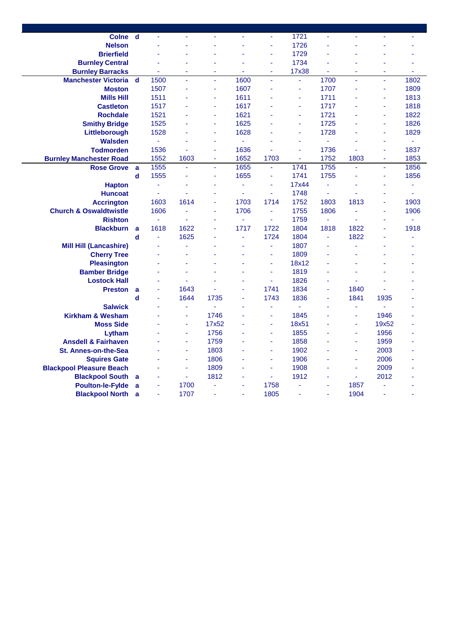| Colne d                                             |             | $\tilde{\phantom{a}}$ | ä,       |                | ٠    | ٠              | 1721         | $\tilde{\phantom{a}}$ | ÷,   | ٠     |                |
|-----------------------------------------------------|-------------|-----------------------|----------|----------------|------|----------------|--------------|-----------------------|------|-------|----------------|
| <b>Nelson</b>                                       |             | ä,                    |          |                |      | ä,             | 1726         |                       |      |       |                |
| <b>Brierfield</b>                                   |             | ä,                    |          |                |      | ä,             | 1729         |                       |      |       |                |
| <b>Burnley Central</b>                              |             |                       |          |                |      | ä,             | 1734         |                       |      |       |                |
| <b>Burnley Barracks</b>                             |             |                       |          | ä,             |      | ä,             | 17x38        |                       | ä,   | ä,    |                |
| <b>Manchester Victoria</b>                          | $\mathbf d$ | 1500                  | ä,       | ä,             | 1600 | ä,             | ä,           | 1700                  | ä,   | ä,    | 1802           |
| <b>Moston</b>                                       |             | 1507                  | ä,       | $\sim$         | 1607 | ä,             | ä,           | 1707                  |      | ä,    | 1809           |
| <b>Mills Hill</b>                                   |             | 1511                  |          | ÷              | 1611 |                | ä,           | 1711                  |      | ä,    | 1813           |
| <b>Castleton</b>                                    |             | 1517                  |          | ä,             | 1617 |                | ä,           | 1717                  |      | ä,    | 1818           |
| <b>Rochdale</b>                                     |             | 1521                  |          | ä,             | 1621 |                | ä,           | 1721                  |      | ä,    | 1822           |
| <b>Smithy Bridge</b>                                |             | 1525                  |          | ä,             | 1625 |                | ä,           | 1725                  |      | ä,    | 1826           |
| Littleborough                                       |             | 1528                  |          | ٠              | 1628 |                | ä,           | 1728                  |      | ä,    | 1829           |
| <b>Walsden</b>                                      |             | ä,                    | L,       | ä,             | ä,   |                | ä,           | ä,                    |      | ä,    | ä,             |
| <b>Todmorden</b>                                    |             | 1536                  | ä        |                | 1636 |                | ä,           | 1736                  |      | ä,    | 1837           |
| <b>Burnley Manchester Road</b>                      |             | 1552                  | 1603     | $\blacksquare$ | 1652 | 1703           | ä,           | 1752                  | 1803 | Ξ     | 1853           |
| <b>Rose Grove</b>                                   | a           | 1555                  | $\omega$ | $\blacksquare$ | 1655 | ä,             | 1741         | 1755                  | ÷,   | ä,    | 1856           |
|                                                     | $\mathbf d$ | 1555                  | ä,       | ä,             | 1655 | ä,             | 1741         | 1755                  |      | ä,    | 1856           |
| <b>Hapton</b>                                       |             | ä,                    |          |                | ä,   | ä,             | 17x44        | ä,                    |      | ä,    | ä,             |
| <b>Huncoat</b>                                      |             | ä,                    | ä,       |                | ä,   | Ξ              | 1748         | ä,                    |      | ä,    | ä,             |
| <b>Accrington</b>                                   |             | 1603                  | 1614     |                | 1703 | 1714           | 1752         | 1803                  | 1813 | ä,    | 1903           |
| <b>Church &amp; Oswaldtwistle</b>                   |             | 1606                  | ä,       |                | 1706 | $\blacksquare$ | 1755         | 1806                  | ÷,   | ä,    | 1906           |
| <b>Rishton</b>                                      |             | ä,                    | L,       | ÷.             | ä,   | $\blacksquare$ | 1759         | ä,                    | ä,   | ä,    | $\blacksquare$ |
| <b>Blackburn</b>                                    | a           | 1618                  | 1622     |                | 1717 | 1722           | 1804         | 1818                  | 1822 | ä,    | 1918           |
|                                                     | $\mathbf d$ | ä,                    | 1625     |                |      | 1724           | 1804<br>1807 | ä,                    | 1822 |       |                |
| <b>Mill Hill (Lancashire)</b><br><b>Cherry Tree</b> |             |                       | ä,       |                |      | ä,<br>Ξ        | 1809         |                       |      |       |                |
| <b>Pleasington</b>                                  |             |                       |          |                |      | ÷,             | 18x12        |                       |      |       |                |
| <b>Bamber Bridge</b>                                |             |                       |          |                |      | ä,             | 1819         |                       |      |       |                |
| <b>Lostock Hall</b>                                 |             |                       |          |                |      | ä,             | 1826         |                       |      |       |                |
| <b>Preston</b>                                      | a           | ä,                    | 1643     |                |      | 1741           | 1834         | ä,                    | 1840 | ä,    |                |
|                                                     | d           | ä,                    | 1644     | 1735           | ä,   | 1743           | 1836         | ä,                    | 1841 | 1935  |                |
| <b>Salwick</b>                                      |             |                       |          |                |      | Ĭ.             |              |                       | ä,   | ÷     |                |
| <b>Kirkham &amp; Wesham</b>                         |             |                       | ÷        | 1746           |      | ä,             | 1845         |                       | ÷,   | 1946  |                |
| <b>Moss Side</b>                                    |             |                       | ä,       | 17x52          |      | ä,             | 18x51        |                       | L,   | 19x52 |                |
| Lytham                                              |             |                       | ÷        | 1756           |      | ٠              | 1855         |                       | ä,   | 1956  |                |
| <b>Ansdell &amp; Fairhaven</b>                      |             |                       | ä,       | 1759           |      | ä,             | 1858         |                       | ä,   | 1959  |                |
| <b>St. Annes-on-the-Sea</b>                         |             |                       | ä,       | 1803           |      | ä,             | 1902         |                       | u.   | 2003  |                |
| <b>Squires Gate</b>                                 |             |                       | ä,       | 1806           |      | ä,             | 1906         |                       | L,   | 2006  |                |
| <b>Blackpool Pleasure Beach</b>                     |             |                       | ä,       | 1809           |      | Ξ              | 1908         |                       | Ξ    | 2009  |                |
| <b>Blackpool South</b>                              | a           | ä                     | ä,       | 1812           |      | ä,             | 1912         |                       | ÷.   | 2012  |                |
| <b>Poulton-le-Fylde</b>                             | a           | L,                    | 1700     |                | ä,   | 1758           |              | ä,                    | 1857 | ä,    |                |
| <b>Blackpool North</b>                              | a           | ä,                    | 1707     |                | ä,   | 1805           |              | ä,                    | 1904 | ä,    |                |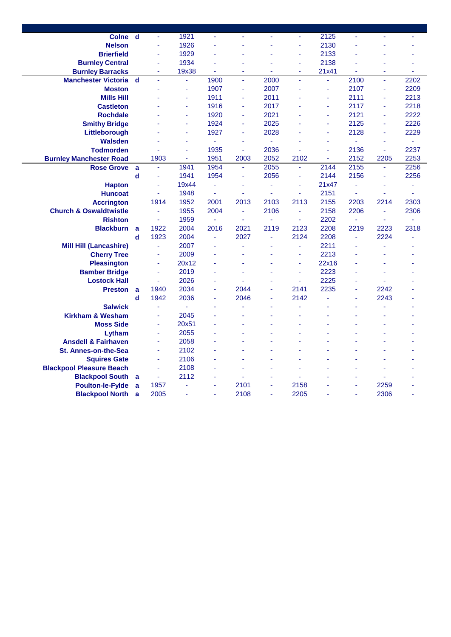| Colne d<br>1926<br>2130<br><b>Nelson</b><br>ä,<br>ä,<br>ä,<br><b>Brierfield</b><br>1929<br>2133<br>ä,<br>ä,<br>L,<br>÷,<br>1934<br>2138<br><b>Burnley Central</b><br>19x38<br>21x41<br><b>Burnley Barracks</b><br>ä,<br>ä,<br>ä,<br>í,<br>ä,<br>ä,<br>2100<br>2202<br>1900<br>2000<br><b>Manchester Victoria</b><br>$\mathbf d$<br>L,<br>ä,<br>ä,<br>ä,<br>ä,<br>ä,<br>1907<br>2007<br>2107<br>2209<br><b>Moston</b><br>ä,<br>÷<br>÷,<br>÷<br>1911<br>2011<br>2111<br>2213<br><b>Mills Hill</b><br>ä,<br>ä,<br>ä,<br>÷<br>1916<br>2017<br>2117<br>2218<br><b>Castleton</b><br>ä,<br>ä,<br>ä,<br>ä,<br>1920<br>2021<br>2121<br>2222<br><b>Rochdale</b><br>ä,<br>ä,<br>ä,<br>÷,<br>1924<br>2025<br>2125<br>2226<br><b>Smithy Bridge</b><br>ä,<br>ä,<br>÷,<br>ä,<br>1927<br>2028<br>2128<br>2229<br>Littleborough<br>ä,<br>ä,<br>ä,<br>ä,<br><b>Walsden</b><br>ä,<br>ä,<br>ä,<br>L,<br>ä<br>ä,<br>ä,<br>ä,<br>1935<br>2036<br>2136<br>2237<br><b>Todmorden</b><br>ä,<br>ä,<br>ä,<br>ä,<br>1951<br>2052<br>2102<br>2152<br>2205<br>2253<br><b>Burnley Manchester Road</b><br>1903<br>2003<br>÷<br>÷<br>1941<br>1954<br>2055<br>2144<br>2155<br>2256<br><b>Rose Grove</b><br>ä,<br>a<br>$\blacksquare$<br>$\omega$<br>$\tilde{\phantom{a}}$<br>$\mathbf d$<br>1941<br>1954<br>2056<br>2144<br>2156<br>2256<br>ä,<br>ä,<br>ä,<br>ä,<br>21x47<br><b>Hapton</b><br>19x44<br>ä,<br>ä,<br>ä,<br>ä,<br>ä,<br>÷,<br>ä,<br>ä,<br>1948<br>2151<br><b>Huncoat</b><br>ä,<br>ä,<br>ä,<br>ä,<br>ä,<br>$\bar{\phantom{a}}$<br>ä,<br>ä,<br>1914<br>1952<br>2001<br>2013<br>2103<br>2113<br>2155<br>2203<br>2214<br>2303<br><b>Accrington</b><br><b>Church &amp; Oswaldtwistle</b><br>1955<br>2004<br>2106<br>2158<br>2206<br>2306<br>ä<br>$\blacksquare$<br>$\blacksquare$<br>$\blacksquare$<br>1959<br>2202<br><b>Rishton</b><br>$\omega$<br>$\omega$<br>ä,<br>ä,<br>÷,<br>$\sim$<br>$\blacksquare$<br>÷,<br>2004<br>2123<br>2208<br>2219<br>2223<br>1922<br>2016<br>2021<br>2119<br>2318<br><b>Blackburn</b><br>a<br>1923<br>2004<br>2027<br>2124<br>2208<br>2224<br>d<br>ä,<br>ä,<br>ä,<br>2007<br>2211<br><b>Mill Hill (Lancashire)</b><br>ä,<br>ä,<br>÷.<br>L,<br>ä<br>2213<br>2009<br><b>Cherry Tree</b><br>ä,<br>L<br>ä,<br>20x12<br>22x16<br><b>Pleasington</b><br>ä,<br>ä,<br>ä,<br>2019<br>2223<br><b>Bamber Bridge</b><br>ä,<br>2026<br>2225<br><b>Lostock Hall</b><br>ä,<br>ä,<br>L,<br>2034<br>2141<br>2235<br>1940<br>2044<br>2242<br><b>Preston</b><br>a<br>ä,<br>ä,<br>í,<br>1942<br>2036<br>2046<br>2142<br>2243<br>d<br>ä,<br>ä,<br>ä,<br>í,<br><b>Salwick</b><br>ä,<br>L<br><b>Kirkham &amp; Wesham</b><br>2045<br>ä,<br>L,<br><b>Moss Side</b><br>20x51<br>ä,<br>ä,<br>2055<br>Lytham<br>ä,<br>L<br>ä,<br>L,<br>2058<br><b>Ansdell &amp; Fairhaven</b><br>ä,<br>2102<br><b>St. Annes-on-the-Sea</b><br>ä,<br>2106<br><b>Squires Gate</b><br>ä,<br><b>Blackpool Pleasure Beach</b><br>2108<br>ä,<br>ä,<br>ä,<br><b>Blackpool South</b><br>2112<br>a<br>ä,<br>ä,<br>ä,<br>1957<br>2158<br>2259<br><b>Poulton-le-Fylde</b><br>2101<br>a<br>ä,<br>ä,<br>ä,<br>ä<br>2205<br>2306<br>2005<br>2108<br>a<br>L,<br>ä,<br>ä,<br>ä, |                        | $\blacksquare$ | 1921 | ÷, | ٠ | $\tilde{\phantom{a}}$ | $\blacksquare$ | 2125 | $\tilde{\phantom{a}}$ | $\tilde{\phantom{a}}$ | ٠ |
|--------------------------------------------------------------------------------------------------------------------------------------------------------------------------------------------------------------------------------------------------------------------------------------------------------------------------------------------------------------------------------------------------------------------------------------------------------------------------------------------------------------------------------------------------------------------------------------------------------------------------------------------------------------------------------------------------------------------------------------------------------------------------------------------------------------------------------------------------------------------------------------------------------------------------------------------------------------------------------------------------------------------------------------------------------------------------------------------------------------------------------------------------------------------------------------------------------------------------------------------------------------------------------------------------------------------------------------------------------------------------------------------------------------------------------------------------------------------------------------------------------------------------------------------------------------------------------------------------------------------------------------------------------------------------------------------------------------------------------------------------------------------------------------------------------------------------------------------------------------------------------------------------------------------------------------------------------------------------------------------------------------------------------------------------------------------------------------------------------------------------------------------------------------------------------------------------------------------------------------------------------------------------------------------------------------------------------------------------------------------------------------------------------------------------------------------------------------------------------------------------------------------------------------------------------------------------------------------------------------------------------------------------------------------------------------------------------------------------------------------------------------------------------------------------------------------------------------------------------------------------------------------------------------------------------------------------------------------------------------------------------------------------------------------------------------------------------------------------------------------------|------------------------|----------------|------|----|---|-----------------------|----------------|------|-----------------------|-----------------------|---|
|                                                                                                                                                                                                                                                                                                                                                                                                                                                                                                                                                                                                                                                                                                                                                                                                                                                                                                                                                                                                                                                                                                                                                                                                                                                                                                                                                                                                                                                                                                                                                                                                                                                                                                                                                                                                                                                                                                                                                                                                                                                                                                                                                                                                                                                                                                                                                                                                                                                                                                                                                                                                                                                                                                                                                                                                                                                                                                                                                                                                                                                                                                                          |                        |                |      |    |   |                       |                |      |                       |                       |   |
|                                                                                                                                                                                                                                                                                                                                                                                                                                                                                                                                                                                                                                                                                                                                                                                                                                                                                                                                                                                                                                                                                                                                                                                                                                                                                                                                                                                                                                                                                                                                                                                                                                                                                                                                                                                                                                                                                                                                                                                                                                                                                                                                                                                                                                                                                                                                                                                                                                                                                                                                                                                                                                                                                                                                                                                                                                                                                                                                                                                                                                                                                                                          |                        |                |      |    |   |                       |                |      |                       |                       |   |
|                                                                                                                                                                                                                                                                                                                                                                                                                                                                                                                                                                                                                                                                                                                                                                                                                                                                                                                                                                                                                                                                                                                                                                                                                                                                                                                                                                                                                                                                                                                                                                                                                                                                                                                                                                                                                                                                                                                                                                                                                                                                                                                                                                                                                                                                                                                                                                                                                                                                                                                                                                                                                                                                                                                                                                                                                                                                                                                                                                                                                                                                                                                          |                        |                |      |    |   |                       |                |      |                       |                       |   |
|                                                                                                                                                                                                                                                                                                                                                                                                                                                                                                                                                                                                                                                                                                                                                                                                                                                                                                                                                                                                                                                                                                                                                                                                                                                                                                                                                                                                                                                                                                                                                                                                                                                                                                                                                                                                                                                                                                                                                                                                                                                                                                                                                                                                                                                                                                                                                                                                                                                                                                                                                                                                                                                                                                                                                                                                                                                                                                                                                                                                                                                                                                                          |                        |                |      |    |   |                       |                |      |                       |                       |   |
|                                                                                                                                                                                                                                                                                                                                                                                                                                                                                                                                                                                                                                                                                                                                                                                                                                                                                                                                                                                                                                                                                                                                                                                                                                                                                                                                                                                                                                                                                                                                                                                                                                                                                                                                                                                                                                                                                                                                                                                                                                                                                                                                                                                                                                                                                                                                                                                                                                                                                                                                                                                                                                                                                                                                                                                                                                                                                                                                                                                                                                                                                                                          |                        |                |      |    |   |                       |                |      |                       |                       |   |
|                                                                                                                                                                                                                                                                                                                                                                                                                                                                                                                                                                                                                                                                                                                                                                                                                                                                                                                                                                                                                                                                                                                                                                                                                                                                                                                                                                                                                                                                                                                                                                                                                                                                                                                                                                                                                                                                                                                                                                                                                                                                                                                                                                                                                                                                                                                                                                                                                                                                                                                                                                                                                                                                                                                                                                                                                                                                                                                                                                                                                                                                                                                          |                        |                |      |    |   |                       |                |      |                       |                       |   |
|                                                                                                                                                                                                                                                                                                                                                                                                                                                                                                                                                                                                                                                                                                                                                                                                                                                                                                                                                                                                                                                                                                                                                                                                                                                                                                                                                                                                                                                                                                                                                                                                                                                                                                                                                                                                                                                                                                                                                                                                                                                                                                                                                                                                                                                                                                                                                                                                                                                                                                                                                                                                                                                                                                                                                                                                                                                                                                                                                                                                                                                                                                                          |                        |                |      |    |   |                       |                |      |                       |                       |   |
|                                                                                                                                                                                                                                                                                                                                                                                                                                                                                                                                                                                                                                                                                                                                                                                                                                                                                                                                                                                                                                                                                                                                                                                                                                                                                                                                                                                                                                                                                                                                                                                                                                                                                                                                                                                                                                                                                                                                                                                                                                                                                                                                                                                                                                                                                                                                                                                                                                                                                                                                                                                                                                                                                                                                                                                                                                                                                                                                                                                                                                                                                                                          |                        |                |      |    |   |                       |                |      |                       |                       |   |
|                                                                                                                                                                                                                                                                                                                                                                                                                                                                                                                                                                                                                                                                                                                                                                                                                                                                                                                                                                                                                                                                                                                                                                                                                                                                                                                                                                                                                                                                                                                                                                                                                                                                                                                                                                                                                                                                                                                                                                                                                                                                                                                                                                                                                                                                                                                                                                                                                                                                                                                                                                                                                                                                                                                                                                                                                                                                                                                                                                                                                                                                                                                          |                        |                |      |    |   |                       |                |      |                       |                       |   |
|                                                                                                                                                                                                                                                                                                                                                                                                                                                                                                                                                                                                                                                                                                                                                                                                                                                                                                                                                                                                                                                                                                                                                                                                                                                                                                                                                                                                                                                                                                                                                                                                                                                                                                                                                                                                                                                                                                                                                                                                                                                                                                                                                                                                                                                                                                                                                                                                                                                                                                                                                                                                                                                                                                                                                                                                                                                                                                                                                                                                                                                                                                                          |                        |                |      |    |   |                       |                |      |                       |                       |   |
|                                                                                                                                                                                                                                                                                                                                                                                                                                                                                                                                                                                                                                                                                                                                                                                                                                                                                                                                                                                                                                                                                                                                                                                                                                                                                                                                                                                                                                                                                                                                                                                                                                                                                                                                                                                                                                                                                                                                                                                                                                                                                                                                                                                                                                                                                                                                                                                                                                                                                                                                                                                                                                                                                                                                                                                                                                                                                                                                                                                                                                                                                                                          |                        |                |      |    |   |                       |                |      |                       |                       |   |
|                                                                                                                                                                                                                                                                                                                                                                                                                                                                                                                                                                                                                                                                                                                                                                                                                                                                                                                                                                                                                                                                                                                                                                                                                                                                                                                                                                                                                                                                                                                                                                                                                                                                                                                                                                                                                                                                                                                                                                                                                                                                                                                                                                                                                                                                                                                                                                                                                                                                                                                                                                                                                                                                                                                                                                                                                                                                                                                                                                                                                                                                                                                          |                        |                |      |    |   |                       |                |      |                       |                       |   |
|                                                                                                                                                                                                                                                                                                                                                                                                                                                                                                                                                                                                                                                                                                                                                                                                                                                                                                                                                                                                                                                                                                                                                                                                                                                                                                                                                                                                                                                                                                                                                                                                                                                                                                                                                                                                                                                                                                                                                                                                                                                                                                                                                                                                                                                                                                                                                                                                                                                                                                                                                                                                                                                                                                                                                                                                                                                                                                                                                                                                                                                                                                                          |                        |                |      |    |   |                       |                |      |                       |                       |   |
|                                                                                                                                                                                                                                                                                                                                                                                                                                                                                                                                                                                                                                                                                                                                                                                                                                                                                                                                                                                                                                                                                                                                                                                                                                                                                                                                                                                                                                                                                                                                                                                                                                                                                                                                                                                                                                                                                                                                                                                                                                                                                                                                                                                                                                                                                                                                                                                                                                                                                                                                                                                                                                                                                                                                                                                                                                                                                                                                                                                                                                                                                                                          |                        |                |      |    |   |                       |                |      |                       |                       |   |
|                                                                                                                                                                                                                                                                                                                                                                                                                                                                                                                                                                                                                                                                                                                                                                                                                                                                                                                                                                                                                                                                                                                                                                                                                                                                                                                                                                                                                                                                                                                                                                                                                                                                                                                                                                                                                                                                                                                                                                                                                                                                                                                                                                                                                                                                                                                                                                                                                                                                                                                                                                                                                                                                                                                                                                                                                                                                                                                                                                                                                                                                                                                          |                        |                |      |    |   |                       |                |      |                       |                       |   |
|                                                                                                                                                                                                                                                                                                                                                                                                                                                                                                                                                                                                                                                                                                                                                                                                                                                                                                                                                                                                                                                                                                                                                                                                                                                                                                                                                                                                                                                                                                                                                                                                                                                                                                                                                                                                                                                                                                                                                                                                                                                                                                                                                                                                                                                                                                                                                                                                                                                                                                                                                                                                                                                                                                                                                                                                                                                                                                                                                                                                                                                                                                                          |                        |                |      |    |   |                       |                |      |                       |                       |   |
|                                                                                                                                                                                                                                                                                                                                                                                                                                                                                                                                                                                                                                                                                                                                                                                                                                                                                                                                                                                                                                                                                                                                                                                                                                                                                                                                                                                                                                                                                                                                                                                                                                                                                                                                                                                                                                                                                                                                                                                                                                                                                                                                                                                                                                                                                                                                                                                                                                                                                                                                                                                                                                                                                                                                                                                                                                                                                                                                                                                                                                                                                                                          |                        |                |      |    |   |                       |                |      |                       |                       |   |
|                                                                                                                                                                                                                                                                                                                                                                                                                                                                                                                                                                                                                                                                                                                                                                                                                                                                                                                                                                                                                                                                                                                                                                                                                                                                                                                                                                                                                                                                                                                                                                                                                                                                                                                                                                                                                                                                                                                                                                                                                                                                                                                                                                                                                                                                                                                                                                                                                                                                                                                                                                                                                                                                                                                                                                                                                                                                                                                                                                                                                                                                                                                          |                        |                |      |    |   |                       |                |      |                       |                       |   |
|                                                                                                                                                                                                                                                                                                                                                                                                                                                                                                                                                                                                                                                                                                                                                                                                                                                                                                                                                                                                                                                                                                                                                                                                                                                                                                                                                                                                                                                                                                                                                                                                                                                                                                                                                                                                                                                                                                                                                                                                                                                                                                                                                                                                                                                                                                                                                                                                                                                                                                                                                                                                                                                                                                                                                                                                                                                                                                                                                                                                                                                                                                                          |                        |                |      |    |   |                       |                |      |                       |                       |   |
|                                                                                                                                                                                                                                                                                                                                                                                                                                                                                                                                                                                                                                                                                                                                                                                                                                                                                                                                                                                                                                                                                                                                                                                                                                                                                                                                                                                                                                                                                                                                                                                                                                                                                                                                                                                                                                                                                                                                                                                                                                                                                                                                                                                                                                                                                                                                                                                                                                                                                                                                                                                                                                                                                                                                                                                                                                                                                                                                                                                                                                                                                                                          |                        |                |      |    |   |                       |                |      |                       |                       |   |
|                                                                                                                                                                                                                                                                                                                                                                                                                                                                                                                                                                                                                                                                                                                                                                                                                                                                                                                                                                                                                                                                                                                                                                                                                                                                                                                                                                                                                                                                                                                                                                                                                                                                                                                                                                                                                                                                                                                                                                                                                                                                                                                                                                                                                                                                                                                                                                                                                                                                                                                                                                                                                                                                                                                                                                                                                                                                                                                                                                                                                                                                                                                          |                        |                |      |    |   |                       |                |      |                       |                       |   |
|                                                                                                                                                                                                                                                                                                                                                                                                                                                                                                                                                                                                                                                                                                                                                                                                                                                                                                                                                                                                                                                                                                                                                                                                                                                                                                                                                                                                                                                                                                                                                                                                                                                                                                                                                                                                                                                                                                                                                                                                                                                                                                                                                                                                                                                                                                                                                                                                                                                                                                                                                                                                                                                                                                                                                                                                                                                                                                                                                                                                                                                                                                                          |                        |                |      |    |   |                       |                |      |                       |                       |   |
|                                                                                                                                                                                                                                                                                                                                                                                                                                                                                                                                                                                                                                                                                                                                                                                                                                                                                                                                                                                                                                                                                                                                                                                                                                                                                                                                                                                                                                                                                                                                                                                                                                                                                                                                                                                                                                                                                                                                                                                                                                                                                                                                                                                                                                                                                                                                                                                                                                                                                                                                                                                                                                                                                                                                                                                                                                                                                                                                                                                                                                                                                                                          |                        |                |      |    |   |                       |                |      |                       |                       |   |
|                                                                                                                                                                                                                                                                                                                                                                                                                                                                                                                                                                                                                                                                                                                                                                                                                                                                                                                                                                                                                                                                                                                                                                                                                                                                                                                                                                                                                                                                                                                                                                                                                                                                                                                                                                                                                                                                                                                                                                                                                                                                                                                                                                                                                                                                                                                                                                                                                                                                                                                                                                                                                                                                                                                                                                                                                                                                                                                                                                                                                                                                                                                          |                        |                |      |    |   |                       |                |      |                       |                       |   |
|                                                                                                                                                                                                                                                                                                                                                                                                                                                                                                                                                                                                                                                                                                                                                                                                                                                                                                                                                                                                                                                                                                                                                                                                                                                                                                                                                                                                                                                                                                                                                                                                                                                                                                                                                                                                                                                                                                                                                                                                                                                                                                                                                                                                                                                                                                                                                                                                                                                                                                                                                                                                                                                                                                                                                                                                                                                                                                                                                                                                                                                                                                                          |                        |                |      |    |   |                       |                |      |                       |                       |   |
|                                                                                                                                                                                                                                                                                                                                                                                                                                                                                                                                                                                                                                                                                                                                                                                                                                                                                                                                                                                                                                                                                                                                                                                                                                                                                                                                                                                                                                                                                                                                                                                                                                                                                                                                                                                                                                                                                                                                                                                                                                                                                                                                                                                                                                                                                                                                                                                                                                                                                                                                                                                                                                                                                                                                                                                                                                                                                                                                                                                                                                                                                                                          |                        |                |      |    |   |                       |                |      |                       |                       |   |
|                                                                                                                                                                                                                                                                                                                                                                                                                                                                                                                                                                                                                                                                                                                                                                                                                                                                                                                                                                                                                                                                                                                                                                                                                                                                                                                                                                                                                                                                                                                                                                                                                                                                                                                                                                                                                                                                                                                                                                                                                                                                                                                                                                                                                                                                                                                                                                                                                                                                                                                                                                                                                                                                                                                                                                                                                                                                                                                                                                                                                                                                                                                          |                        |                |      |    |   |                       |                |      |                       |                       |   |
|                                                                                                                                                                                                                                                                                                                                                                                                                                                                                                                                                                                                                                                                                                                                                                                                                                                                                                                                                                                                                                                                                                                                                                                                                                                                                                                                                                                                                                                                                                                                                                                                                                                                                                                                                                                                                                                                                                                                                                                                                                                                                                                                                                                                                                                                                                                                                                                                                                                                                                                                                                                                                                                                                                                                                                                                                                                                                                                                                                                                                                                                                                                          |                        |                |      |    |   |                       |                |      |                       |                       |   |
|                                                                                                                                                                                                                                                                                                                                                                                                                                                                                                                                                                                                                                                                                                                                                                                                                                                                                                                                                                                                                                                                                                                                                                                                                                                                                                                                                                                                                                                                                                                                                                                                                                                                                                                                                                                                                                                                                                                                                                                                                                                                                                                                                                                                                                                                                                                                                                                                                                                                                                                                                                                                                                                                                                                                                                                                                                                                                                                                                                                                                                                                                                                          |                        |                |      |    |   |                       |                |      |                       |                       |   |
|                                                                                                                                                                                                                                                                                                                                                                                                                                                                                                                                                                                                                                                                                                                                                                                                                                                                                                                                                                                                                                                                                                                                                                                                                                                                                                                                                                                                                                                                                                                                                                                                                                                                                                                                                                                                                                                                                                                                                                                                                                                                                                                                                                                                                                                                                                                                                                                                                                                                                                                                                                                                                                                                                                                                                                                                                                                                                                                                                                                                                                                                                                                          |                        |                |      |    |   |                       |                |      |                       |                       |   |
|                                                                                                                                                                                                                                                                                                                                                                                                                                                                                                                                                                                                                                                                                                                                                                                                                                                                                                                                                                                                                                                                                                                                                                                                                                                                                                                                                                                                                                                                                                                                                                                                                                                                                                                                                                                                                                                                                                                                                                                                                                                                                                                                                                                                                                                                                                                                                                                                                                                                                                                                                                                                                                                                                                                                                                                                                                                                                                                                                                                                                                                                                                                          |                        |                |      |    |   |                       |                |      |                       |                       |   |
|                                                                                                                                                                                                                                                                                                                                                                                                                                                                                                                                                                                                                                                                                                                                                                                                                                                                                                                                                                                                                                                                                                                                                                                                                                                                                                                                                                                                                                                                                                                                                                                                                                                                                                                                                                                                                                                                                                                                                                                                                                                                                                                                                                                                                                                                                                                                                                                                                                                                                                                                                                                                                                                                                                                                                                                                                                                                                                                                                                                                                                                                                                                          |                        |                |      |    |   |                       |                |      |                       |                       |   |
|                                                                                                                                                                                                                                                                                                                                                                                                                                                                                                                                                                                                                                                                                                                                                                                                                                                                                                                                                                                                                                                                                                                                                                                                                                                                                                                                                                                                                                                                                                                                                                                                                                                                                                                                                                                                                                                                                                                                                                                                                                                                                                                                                                                                                                                                                                                                                                                                                                                                                                                                                                                                                                                                                                                                                                                                                                                                                                                                                                                                                                                                                                                          |                        |                |      |    |   |                       |                |      |                       |                       |   |
|                                                                                                                                                                                                                                                                                                                                                                                                                                                                                                                                                                                                                                                                                                                                                                                                                                                                                                                                                                                                                                                                                                                                                                                                                                                                                                                                                                                                                                                                                                                                                                                                                                                                                                                                                                                                                                                                                                                                                                                                                                                                                                                                                                                                                                                                                                                                                                                                                                                                                                                                                                                                                                                                                                                                                                                                                                                                                                                                                                                                                                                                                                                          |                        |                |      |    |   |                       |                |      |                       |                       |   |
|                                                                                                                                                                                                                                                                                                                                                                                                                                                                                                                                                                                                                                                                                                                                                                                                                                                                                                                                                                                                                                                                                                                                                                                                                                                                                                                                                                                                                                                                                                                                                                                                                                                                                                                                                                                                                                                                                                                                                                                                                                                                                                                                                                                                                                                                                                                                                                                                                                                                                                                                                                                                                                                                                                                                                                                                                                                                                                                                                                                                                                                                                                                          |                        |                |      |    |   |                       |                |      |                       |                       |   |
|                                                                                                                                                                                                                                                                                                                                                                                                                                                                                                                                                                                                                                                                                                                                                                                                                                                                                                                                                                                                                                                                                                                                                                                                                                                                                                                                                                                                                                                                                                                                                                                                                                                                                                                                                                                                                                                                                                                                                                                                                                                                                                                                                                                                                                                                                                                                                                                                                                                                                                                                                                                                                                                                                                                                                                                                                                                                                                                                                                                                                                                                                                                          |                        |                |      |    |   |                       |                |      |                       |                       |   |
|                                                                                                                                                                                                                                                                                                                                                                                                                                                                                                                                                                                                                                                                                                                                                                                                                                                                                                                                                                                                                                                                                                                                                                                                                                                                                                                                                                                                                                                                                                                                                                                                                                                                                                                                                                                                                                                                                                                                                                                                                                                                                                                                                                                                                                                                                                                                                                                                                                                                                                                                                                                                                                                                                                                                                                                                                                                                                                                                                                                                                                                                                                                          |                        |                |      |    |   |                       |                |      |                       |                       |   |
|                                                                                                                                                                                                                                                                                                                                                                                                                                                                                                                                                                                                                                                                                                                                                                                                                                                                                                                                                                                                                                                                                                                                                                                                                                                                                                                                                                                                                                                                                                                                                                                                                                                                                                                                                                                                                                                                                                                                                                                                                                                                                                                                                                                                                                                                                                                                                                                                                                                                                                                                                                                                                                                                                                                                                                                                                                                                                                                                                                                                                                                                                                                          |                        |                |      |    |   |                       |                |      |                       |                       |   |
|                                                                                                                                                                                                                                                                                                                                                                                                                                                                                                                                                                                                                                                                                                                                                                                                                                                                                                                                                                                                                                                                                                                                                                                                                                                                                                                                                                                                                                                                                                                                                                                                                                                                                                                                                                                                                                                                                                                                                                                                                                                                                                                                                                                                                                                                                                                                                                                                                                                                                                                                                                                                                                                                                                                                                                                                                                                                                                                                                                                                                                                                                                                          |                        |                |      |    |   |                       |                |      |                       |                       |   |
|                                                                                                                                                                                                                                                                                                                                                                                                                                                                                                                                                                                                                                                                                                                                                                                                                                                                                                                                                                                                                                                                                                                                                                                                                                                                                                                                                                                                                                                                                                                                                                                                                                                                                                                                                                                                                                                                                                                                                                                                                                                                                                                                                                                                                                                                                                                                                                                                                                                                                                                                                                                                                                                                                                                                                                                                                                                                                                                                                                                                                                                                                                                          | <b>Blackpool North</b> |                |      |    |   |                       |                |      |                       |                       |   |